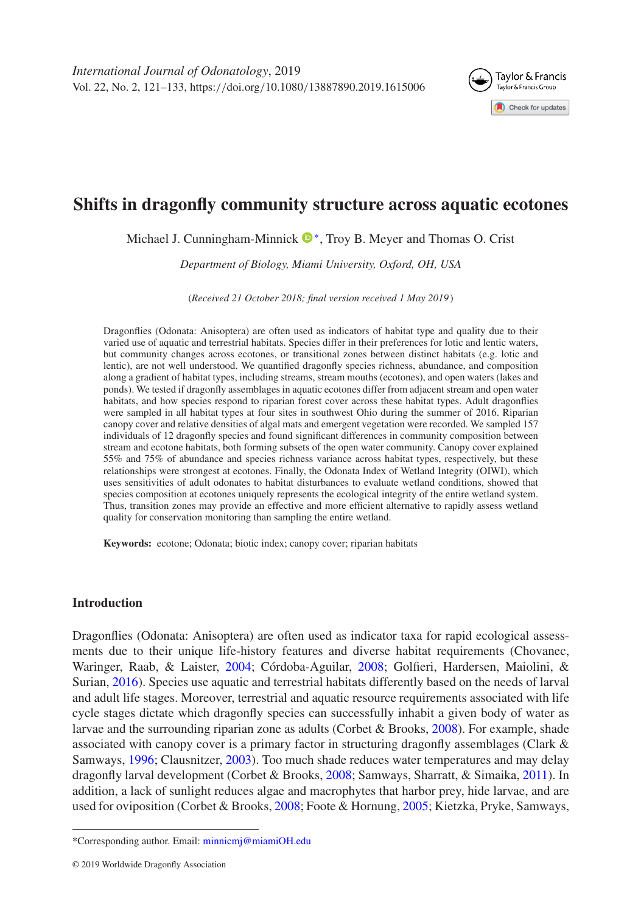

# **Shifts in dragonfly community structure across aquatic ecotones**

Michael J. Cunningham-Minnick  $\mathbb{D}^*$ , Troy B. Meyer and Thomas O. Crist

*Department of Biology, Miami University, Oxford, OH, USA*

(*Received 21 October 2018; final version received 1 May 2019* )

Dragonflies (Odonata: Anisoptera) are often used as indicators of habitat type and quality due to their varied use of aquatic and terrestrial habitats. Species differ in their preferences for lotic and lentic waters, but community changes across ecotones, or transitional zones between distinct habitats (e.g. lotic and lentic), are not well understood. We quantified dragonfly species richness, abundance, and composition along a gradient of habitat types, including streams, stream mouths (ecotones), and open waters (lakes and ponds). We tested if dragonfly assemblages in aquatic ecotones differ from adjacent stream and open water habitats, and how species respond to riparian forest cover across these habitat types. Adult dragonflies were sampled in all habitat types at four sites in southwest Ohio during the summer of 2016. Riparian canopy cover and relative densities of algal mats and emergent vegetation were recorded. We sampled 157 individuals of 12 dragonfly species and found significant differences in community composition between stream and ecotone habitats, both forming subsets of the open water community. Canopy cover explained 55% and 75% of abundance and species richness variance across habitat types, respectively, but these relationships were strongest at ecotones. Finally, the Odonata Index of Wetland Integrity (OIWI), which uses sensitivities of adult odonates to habitat disturbances to evaluate wetland conditions, showed that species composition at ecotones uniquely represents the ecological integrity of the entire wetland system. Thus, transition zones may provide an effective and more efficient alternative to rapidly assess wetland quality for conservation monitoring than sampling the entire wetland.

**Keywords:** ecotone; Odonata; biotic index; canopy cover; riparian habitats

# **Introduction**

Dragonflies (Odonata: Anisoptera) are often used as indicator taxa for rapid ecological assessments due to their unique life-history features and diverse habitat requirements (Chovanec, Waringer, Raab, & Laister, [2004;](#page-10-0) Córdoba-Aguilar, [2008;](#page-10-1) Golfieri, Hardersen, Maiolini, & Surian, [2016\)](#page-10-2). Species use aquatic and terrestrial habitats differently based on the needs of larval and adult life stages. Moreover, terrestrial and aquatic resource requirements associated with life cycle stages dictate which dragonfly species can successfully inhabit a given body of water as larvae and the surrounding riparian zone as adults (Corbet & Brooks, [2008\)](#page-10-3). For example, shade associated with canopy cover is a primary factor in structuring dragonfly assemblages (Clark  $\&$ Samways, [1996;](#page-10-4) Clausnitzer, [2003\)](#page-10-5). Too much shade reduces water temperatures and may delay dragonfly larval development (Corbet & Brooks, [2008;](#page-10-3) Samways, Sharratt, & Simaika, [2011\)](#page-11-0). In addition, a lack of sunlight reduces algae and macrophytes that harbor prey, hide larvae, and are used for oviposition (Corbet & Brooks, [2008;](#page-10-3) Foote & Hornung, [2005;](#page-10-6) Kietzka, Pryke, Samways,

<span id="page-0-0"></span><sup>\*</sup>Corresponding author. Email: [minnicmj@miamiOH.edu](mailto:minnicmj@miamiOH.edu)

<sup>© 2019</sup> Worldwide Dragonfly Association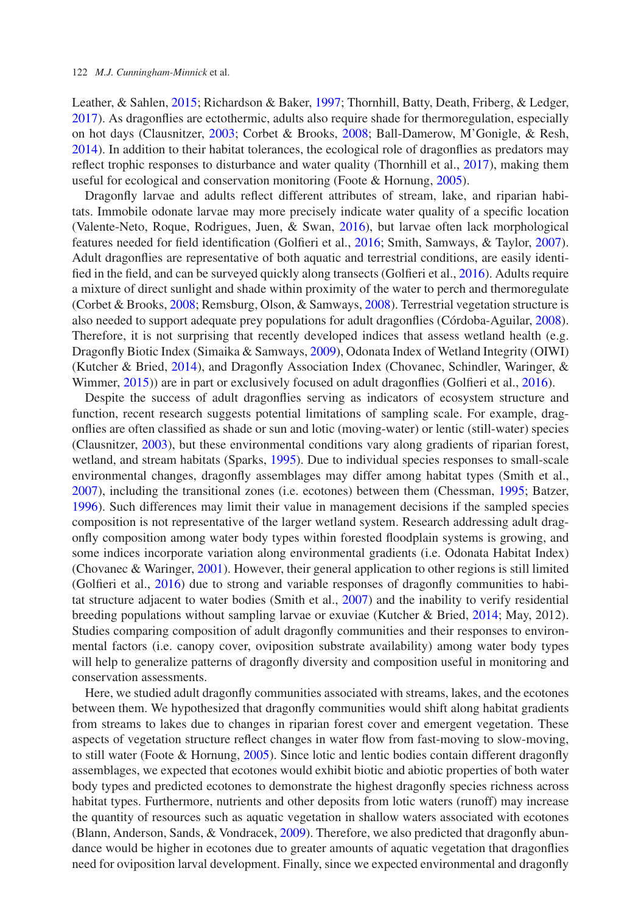Leather, & Sahlen, [2015;](#page-10-7) Richardson & Baker, [1997;](#page-11-1) Thornhill, Batty, Death, Friberg, & Ledger, [2017\)](#page-11-2). As dragonflies are ectothermic, adults also require shade for thermoregulation, especially on hot days (Clausnitzer, [2003;](#page-10-5) Corbet & Brooks, [2008;](#page-10-3) Ball-Damerow, M'Gonigle, & Resh, [2014\)](#page-10-8). In addition to their habitat tolerances, the ecological role of dragonflies as predators may reflect trophic responses to disturbance and water quality (Thornhill et al., [2017\)](#page-11-2), making them useful for ecological and conservation monitoring (Foote & Hornung, [2005\)](#page-10-6).

Dragonfly larvae and adults reflect different attributes of stream, lake, and riparian habitats. Immobile odonate larvae may more precisely indicate water quality of a specific location (Valente-Neto, Roque, Rodrigues, Juen, & Swan, [2016\)](#page-11-3), but larvae often lack morphological features needed for field identification (Golfieri et al., [2016;](#page-10-2) Smith, Samways, & Taylor, [2007\)](#page-11-4). Adult dragonflies are representative of both aquatic and terrestrial conditions, are easily identified in the field, and can be surveyed quickly along transects (Golfieri et al., [2016\)](#page-10-2). Adults require a mixture of direct sunlight and shade within proximity of the water to perch and thermoregulate (Corbet & Brooks, [2008;](#page-10-3) Remsburg, Olson, & Samways, [2008\)](#page-11-5). Terrestrial vegetation structure is also needed to support adequate prey populations for adult dragonflies (Córdoba-Aguilar, [2008\)](#page-10-1). Therefore, it is not surprising that recently developed indices that assess wetland health (e.g. Dragonfly Biotic Index (Simaika & Samways, [2009\)](#page-11-6), Odonata Index of Wetland Integrity (OIWI) (Kutcher & Bried, [2014\)](#page-10-9), and Dragonfly Association Index (Chovanec, Schindler, Waringer, & Wimmer, [2015\)](#page-10-10)) are in part or exclusively focused on adult dragonflies (Golfieri et al., [2016\)](#page-10-2).

Despite the success of adult dragonflies serving as indicators of ecosystem structure and function, recent research suggests potential limitations of sampling scale. For example, dragonflies are often classified as shade or sun and lotic (moving-water) or lentic (still-water) species (Clausnitzer, [2003\)](#page-10-5), but these environmental conditions vary along gradients of riparian forest, wetland, and stream habitats (Sparks, [1995\)](#page-11-7). Due to individual species responses to small-scale environmental changes, dragonfly assemblages may differ among habitat types (Smith et al., [2007\)](#page-11-4), including the transitional zones (i.e. ecotones) between them (Chessman, [1995;](#page-10-11) Batzer, [1996\)](#page-10-12). Such differences may limit their value in management decisions if the sampled species composition is not representative of the larger wetland system. Research addressing adult dragonfly composition among water body types within forested floodplain systems is growing, and some indices incorporate variation along environmental gradients (i.e. Odonata Habitat Index) (Chovanec & Waringer, [2001\)](#page-10-13). However, their general application to other regions is still limited (Golfieri et al., [2016\)](#page-10-2) due to strong and variable responses of dragonfly communities to habitat structure adjacent to water bodies (Smith et al., [2007\)](#page-11-4) and the inability to verify residential breeding populations without sampling larvae or exuviae (Kutcher & Bried, [2014;](#page-10-9) May, 2012). Studies comparing composition of adult dragonfly communities and their responses to environmental factors (i.e. canopy cover, oviposition substrate availability) among water body types will help to generalize patterns of dragonfly diversity and composition useful in monitoring and conservation assessments.

Here, we studied adult dragonfly communities associated with streams, lakes, and the ecotones between them. We hypothesized that dragonfly communities would shift along habitat gradients from streams to lakes due to changes in riparian forest cover and emergent vegetation. These aspects of vegetation structure reflect changes in water flow from fast-moving to slow-moving, to still water (Foote & Hornung, [2005\)](#page-10-6). Since lotic and lentic bodies contain different dragonfly assemblages, we expected that ecotones would exhibit biotic and abiotic properties of both water body types and predicted ecotones to demonstrate the highest dragonfly species richness across habitat types. Furthermore, nutrients and other deposits from lotic waters (runoff) may increase the quantity of resources such as aquatic vegetation in shallow waters associated with ecotones (Blann, Anderson, Sands, & Vondracek, [2009\)](#page-10-14). Therefore, we also predicted that dragonfly abundance would be higher in ecotones due to greater amounts of aquatic vegetation that dragonflies need for oviposition larval development. Finally, since we expected environmental and dragonfly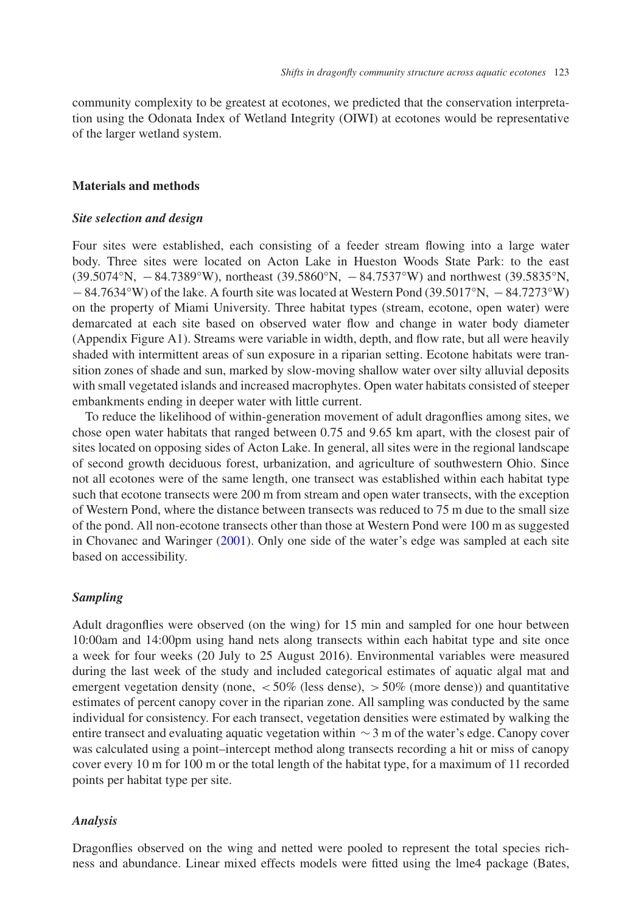community complexity to be greatest at ecotones, we predicted that the conservation interpretation using the Odonata Index of Wetland Integrity (OIWI) at ecotones would be representative of the larger wetland system.

#### **Materials and methods**

#### *Site selection and design*

Four sites were established, each consisting of a feeder stream flowing into a large water body. Three sites were located on Acton Lake in Hueston Woods State Park: to the east (39.5074°N, −84.7389°W), northeast (39.5860°N, −84.7537°W) and northwest (39.5835°N, −84.7634°W) of the lake. A fourth site was located at Western Pond (39.5017°N, −84.7273°W) on the property of Miami University. Three habitat types (stream, ecotone, open water) were demarcated at each site based on observed water flow and change in water body diameter (Appendix Figure A1). Streams were variable in width, depth, and flow rate, but all were heavily shaded with intermittent areas of sun exposure in a riparian setting. Ecotone habitats were transition zones of shade and sun, marked by slow-moving shallow water over silty alluvial deposits with small vegetated islands and increased macrophytes. Open water habitats consisted of steeper embankments ending in deeper water with little current.

To reduce the likelihood of within-generation movement of adult dragonflies among sites, we chose open water habitats that ranged between 0.75 and 9.65 km apart, with the closest pair of sites located on opposing sides of Acton Lake. In general, all sites were in the regional landscape of second growth deciduous forest, urbanization, and agriculture of southwestern Ohio. Since not all ecotones were of the same length, one transect was established within each habitat type such that ecotone transects were 200 m from stream and open water transects, with the exception of Western Pond, where the distance between transects was reduced to 75 m due to the small size of the pond. All non-ecotone transects other than those at Western Pond were 100 m as suggested in Chovanec and Waringer [\(2001\)](#page-10-13). Only one side of the water's edge was sampled at each site based on accessibility.

# *Sampling*

Adult dragonflies were observed (on the wing) for 15 min and sampled for one hour between 10:00am and 14:00pm using hand nets along transects within each habitat type and site once a week for four weeks (20 July to 25 August 2016). Environmental variables were measured during the last week of the study and included categorical estimates of aquatic algal mat and emergent vegetation density (none,  $\lt 50\%$  (less dense),  $\gt 50\%$  (more dense)) and quantitative estimates of percent canopy cover in the riparian zone. All sampling was conducted by the same individual for consistency. For each transect, vegetation densities were estimated by walking the entire transect and evaluating aquatic vegetation within  $\sim$ 3 m of the water's edge. Canopy cover was calculated using a point–intercept method along transects recording a hit or miss of canopy cover every 10 m for 100 m or the total length of the habitat type, for a maximum of 11 recorded points per habitat type per site.

#### *Analysis*

Dragonflies observed on the wing and netted were pooled to represent the total species richness and abundance. Linear mixed effects models were fitted using the lme4 package (Bates,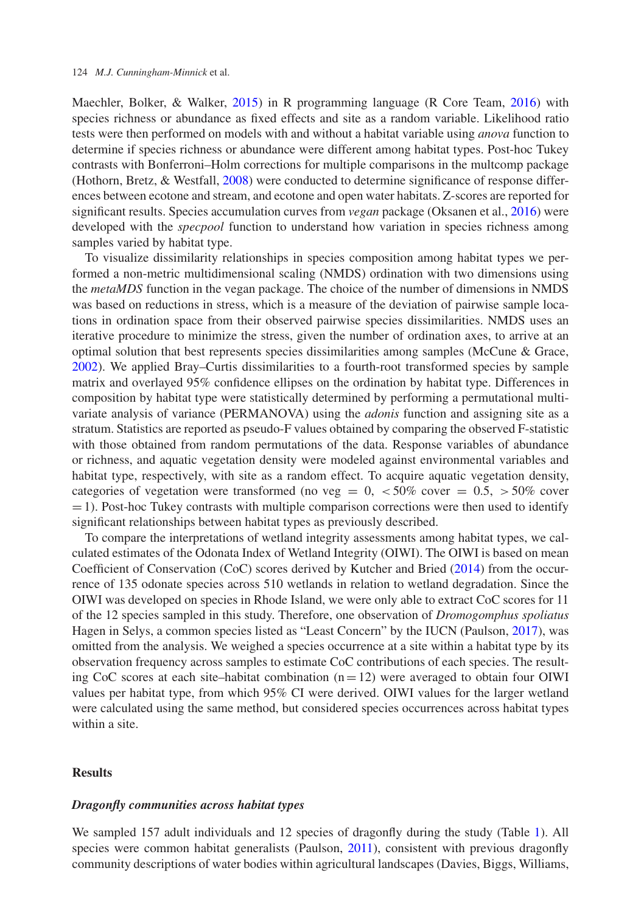Maechler, Bolker, & Walker, [2015\)](#page-10-15) in R programming language (R Core Team, [2016\)](#page-11-8) with species richness or abundance as fixed effects and site as a random variable. Likelihood ratio tests were then performed on models with and without a habitat variable using *anova* function to determine if species richness or abundance were different among habitat types. Post-hoc Tukey contrasts with Bonferroni–Holm corrections for multiple comparisons in the multcomp package (Hothorn, Bretz, & Westfall, [2008\)](#page-10-16) were conducted to determine significance of response differences between ecotone and stream, and ecotone and open water habitats. Z-scores are reported for significant results. Species accumulation curves from *vegan* package (Oksanen et al., [2016\)](#page-11-9) were developed with the *specpool* function to understand how variation in species richness among samples varied by habitat type.

To visualize dissimilarity relationships in species composition among habitat types we performed a non-metric multidimensional scaling (NMDS) ordination with two dimensions using the *metaMDS* function in the vegan package. The choice of the number of dimensions in NMDS was based on reductions in stress, which is a measure of the deviation of pairwise sample locations in ordination space from their observed pairwise species dissimilarities. NMDS uses an iterative procedure to minimize the stress, given the number of ordination axes, to arrive at an optimal solution that best represents species dissimilarities among samples (McCune & Grace, [2002\)](#page-10-17). We applied Bray–Curtis dissimilarities to a fourth-root transformed species by sample matrix and overlayed 95% confidence ellipses on the ordination by habitat type. Differences in composition by habitat type were statistically determined by performing a permutational multivariate analysis of variance (PERMANOVA) using the *adonis* function and assigning site as a stratum. Statistics are reported as pseudo-F values obtained by comparing the observed F-statistic with those obtained from random permutations of the data. Response variables of abundance or richness, and aquatic vegetation density were modeled against environmental variables and habitat type, respectively, with site as a random effect. To acquire aquatic vegetation density, categories of vegetation were transformed (no veg =  $0,$  <50% cover = 0.5,  $>50%$  cover  $=1$ ). Post-hoc Tukey contrasts with multiple comparison corrections were then used to identify significant relationships between habitat types as previously described.

To compare the interpretations of wetland integrity assessments among habitat types, we calculated estimates of the Odonata Index of Wetland Integrity (OIWI). The OIWI is based on mean Coefficient of Conservation (CoC) scores derived by Kutcher and Bried [\(2014\)](#page-10-9) from the occurrence of 135 odonate species across 510 wetlands in relation to wetland degradation. Since the OIWI was developed on species in Rhode Island, we were only able to extract CoC scores for 11 of the 12 species sampled in this study. Therefore, one observation of *Dromogomphus spoliatus* Hagen in Selys, a common species listed as "Least Concern" by the IUCN (Paulson, [2017\)](#page-11-10), was omitted from the analysis. We weighed a species occurrence at a site within a habitat type by its observation frequency across samples to estimate CoC contributions of each species. The resulting CoC scores at each site–habitat combination  $(n=12)$  were averaged to obtain four OIWI values per habitat type, from which 95% CI were derived. OIWI values for the larger wetland were calculated using the same method, but considered species occurrences across habitat types within a site.

# **Results**

#### *Dragonfly communities across habitat types*

We sampled 157 adult individuals and 12 species of dragonfly during the study (Table [1\)](#page-4-0). All species were common habitat generalists (Paulson, [2011\)](#page-11-11), consistent with previous dragonfly community descriptions of water bodies within agricultural landscapes (Davies, Biggs, Williams,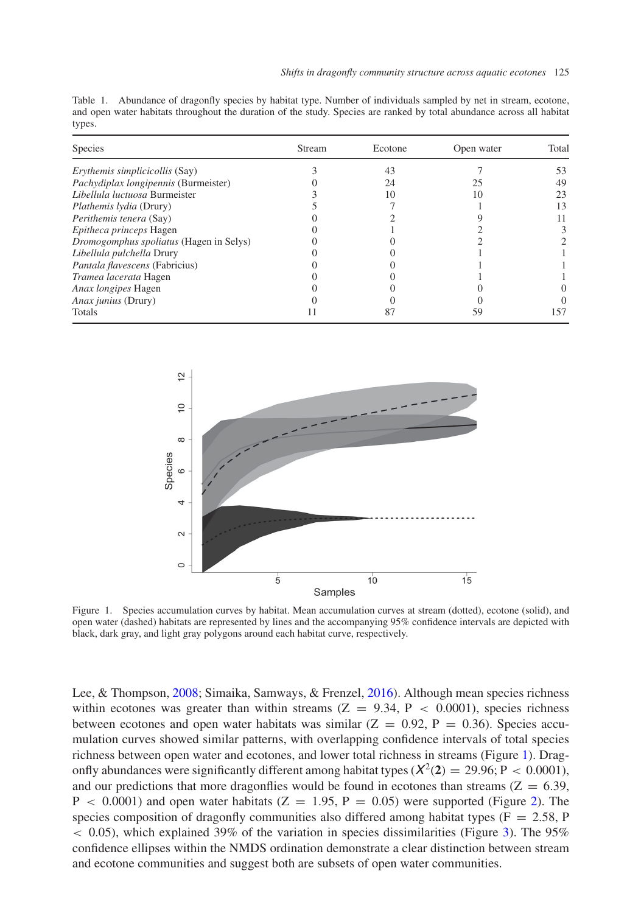<span id="page-4-0"></span>Table 1. Abundance of dragonfly species by habitat type. Number of individuals sampled by net in stream, ecotone, and open water habitats throughout the duration of the study. Species are ranked by total abundance across all habitat types.

| <b>Species</b>                                 | Stream | Ecotone | Open water | Total |  |
|------------------------------------------------|--------|---------|------------|-------|--|
| <i>Erythemis simplicicollis</i> (Say)          |        | 43      |            | 53    |  |
| Pachydiplax longipennis (Burmeister)           |        | 24      | 25         | 49    |  |
| Libellula luctuosa Burmeister                  |        | 10      | 10         | 23    |  |
| <i>Plathemis Ivdia</i> (Drury)                 |        |         |            | 13    |  |
| Perithemis tenera (Say)                        |        |         |            |       |  |
| Epitheca princeps Hagen                        |        |         |            |       |  |
| <i>Dromogomphus spoliatus</i> (Hagen in Selys) |        |         |            |       |  |
| Libellula pulchella Drury                      |        |         |            |       |  |
| Pantala flavescens (Fabricius)                 |        |         |            |       |  |
| Tramea lacerata Hagen                          |        |         |            |       |  |
| <i>Anax longipes</i> Hagen                     |        |         |            |       |  |
| Anax junius (Drury)                            |        |         |            |       |  |
| Totals                                         |        |         |            | 157   |  |



<span id="page-4-1"></span>Figure 1. Species accumulation curves by habitat. Mean accumulation curves at stream (dotted), ecotone (solid), and open water (dashed) habitats are represented by lines and the accompanying 95% confidence intervals are depicted with black, dark gray, and light gray polygons around each habitat curve, respectively.

Lee, & Thompson, [2008;](#page-10-18) Simaika, Samways, & Frenzel, [2016\)](#page-11-12). Although mean species richness within ecotones was greater than within streams  $(Z = 9.34, P < 0.0001)$ , species richness between ecotones and open water habitats was similar  $(Z = 0.92, P = 0.36)$ . Species accumulation curves showed similar patterns, with overlapping confidence intervals of total species richness between open water and ecotones, and lower total richness in streams (Figure [1\)](#page-4-1). Dragonfly abundances were significantly different among habitat types  $(X^2(2) = 29.96; P < 0.0001)$ , and our predictions that more dragonflies would be found in ecotones than streams ( $Z = 6.39$ ,  $P < 0.0001$ ) and open water habitats (Z = 1.95, P = 0.05) were supported (Figure [2\)](#page-5-0). The species composition of dragonfly communities also differed among habitat types ( $F = 2.58$ , P  $<$  0.05), which explained 39% of the variation in species dissimilarities (Figure [3\)](#page-5-1). The 95% confidence ellipses within the NMDS ordination demonstrate a clear distinction between stream and ecotone communities and suggest both are subsets of open water communities.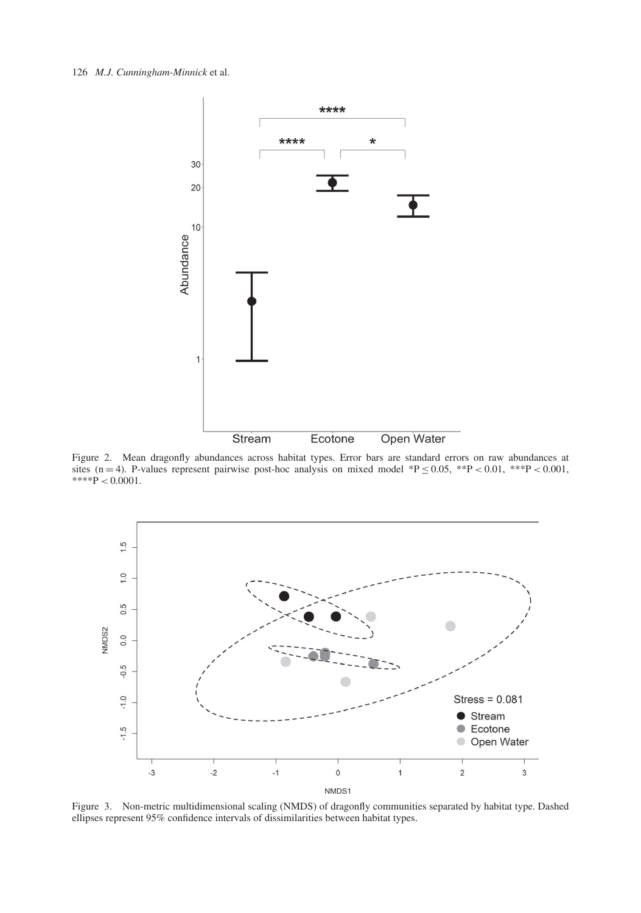#### 126 *M.J. Cunningham-Minnick* et al.



<span id="page-5-0"></span>Figure 2. Mean dragonfly abundances across habitat types. Error bars are standard errors on raw abundances at sites (n = 4). P-values represent pairwise post-hoc analysis on mixed model \*P  $\leq$  0.05, \*\*P < 0.01, \*\*\*P < 0.001,  $***P < 0.0001$ .



<span id="page-5-1"></span>Figure 3. Non-metric multidimensional scaling (NMDS) of dragonfly communities separated by habitat type. Dashed ellipses represent 95% confidence intervals of dissimilarities between habitat types.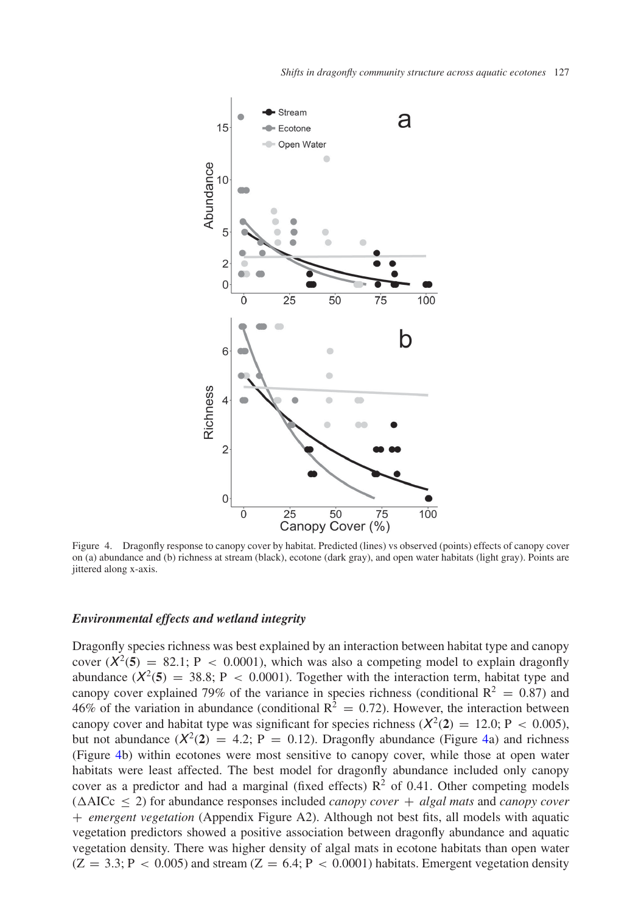

<span id="page-6-0"></span>Figure 4. Dragonfly response to canopy cover by habitat. Predicted (lines) vs observed (points) effects of canopy cover on (a) abundance and (b) richness at stream (black), ecotone (dark gray), and open water habitats (light gray). Points are jittered along x-axis.

## *Environmental effects and wetland integrity*

Dragonfly species richness was best explained by an interaction between habitat type and canopy cover  $(X^2(5) = 82.1; P < 0.0001)$ , which was also a competing model to explain dragonfly abundance  $(X^2(5) = 38.8; P < 0.0001)$ . Together with the interaction term, habitat type and canopy cover explained 79% of the variance in species richness (conditional  $R^2 = 0.87$ ) and 46% of the variation in abundance (conditional  $R^2 = 0.72$ ). However, the interaction between canopy cover and habitat type was significant for species richness  $(X^2(2) = 12.0; P < 0.005)$ , but not abundance  $(X^2(2) = 4.2; P = 0.12)$ . Dragonfly abundance (Figure [4a](#page-6-0)) and richness (Figure [4b](#page-6-0)) within ecotones were most sensitive to canopy cover, while those at open water habitats were least affected. The best model for dragonfly abundance included only canopy cover as a predictor and had a marginal (fixed effects)  $R^2$  of 0.41. Other competing models  $(\Delta AICc \leq 2)$  for abundance responses included *canopy cover* + *algal mats* and *canopy cover* + *emergent vegetation* (Appendix Figure A2). Although not best fits, all models with aquatic vegetation predictors showed a positive association between dragonfly abundance and aquatic vegetation density. There was higher density of algal mats in ecotone habitats than open water  $(Z = 3.3; P < 0.005)$  and stream  $(Z = 6.4; P < 0.0001)$  habitats. Emergent vegetation density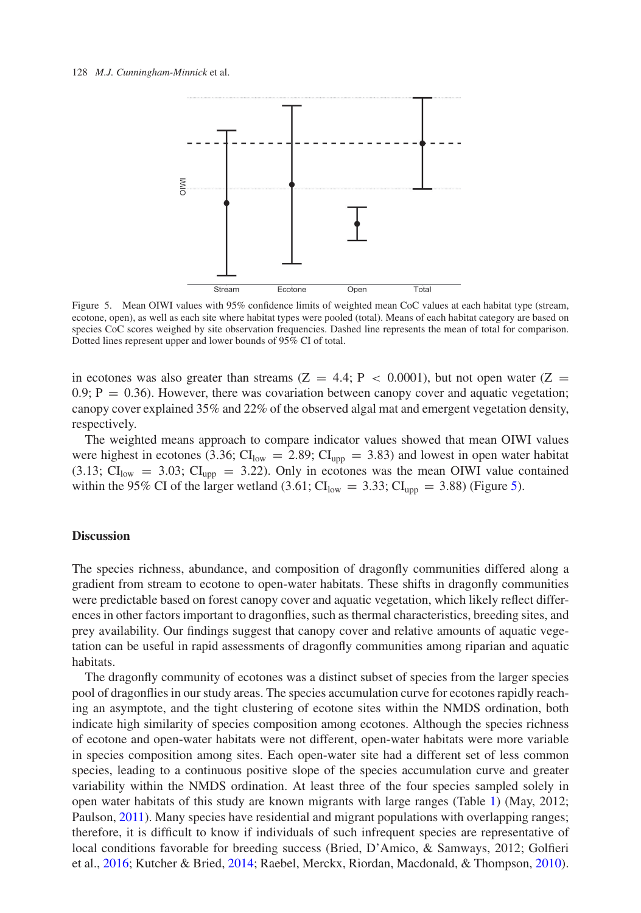

<span id="page-7-0"></span>Figure 5. Mean OIWI values with 95% confidence limits of weighted mean CoC values at each habitat type (stream, ecotone, open), as well as each site where habitat types were pooled (total). Means of each habitat category are based on species CoC scores weighed by site observation frequencies. Dashed line represents the mean of total for comparison. Dotted lines represent upper and lower bounds of 95% CI of total.

in ecotones was also greater than streams ( $Z = 4.4$ ;  $P < 0.0001$ ), but not open water ( $Z = 1.4$ )  $0.9$ ;  $P = 0.36$ ). However, there was covariation between canopy cover and aquatic vegetation; canopy cover explained 35% and 22% of the observed algal mat and emergent vegetation density, respectively.

The weighted means approach to compare indicator values showed that mean OIWI values were highest in ecotones (3.36;  $CI_{low} = 2.89$ ;  $CI_{upp} = 3.83$ ) and lowest in open water habitat  $(3.13; \text{CI}_{low} = 3.03; \text{CI}_{upp} = 3.22)$ . Only in ecotones was the mean OIWI value contained within the 95% CI of the larger wetland (3.61;  $CI_{low} = 3.33$ ;  $CI_{upp} = 3.88$ ) (Figure [5\)](#page-7-0).

### **Discussion**

The species richness, abundance, and composition of dragonfly communities differed along a gradient from stream to ecotone to open-water habitats. These shifts in dragonfly communities were predictable based on forest canopy cover and aquatic vegetation, which likely reflect differences in other factors important to dragonflies, such as thermal characteristics, breeding sites, and prey availability. Our findings suggest that canopy cover and relative amounts of aquatic vegetation can be useful in rapid assessments of dragonfly communities among riparian and aquatic habitats.

The dragonfly community of ecotones was a distinct subset of species from the larger species pool of dragonflies in our study areas. The species accumulation curve for ecotones rapidly reaching an asymptote, and the tight clustering of ecotone sites within the NMDS ordination, both indicate high similarity of species composition among ecotones. Although the species richness of ecotone and open-water habitats were not different, open-water habitats were more variable in species composition among sites. Each open-water site had a different set of less common species, leading to a continuous positive slope of the species accumulation curve and greater variability within the NMDS ordination. At least three of the four species sampled solely in open water habitats of this study are known migrants with large ranges (Table [1\)](#page-4-0) (May, 2012; Paulson, [2011\)](#page-11-11). Many species have residential and migrant populations with overlapping ranges; therefore, it is difficult to know if individuals of such infrequent species are representative of local conditions favorable for breeding success (Bried, D'Amico, & Samways, 2012; Golfieri et al., [2016;](#page-10-2) Kutcher & Bried, [2014;](#page-10-9) Raebel, Merckx, Riordan, Macdonald, & Thompson, [2010\)](#page-11-13).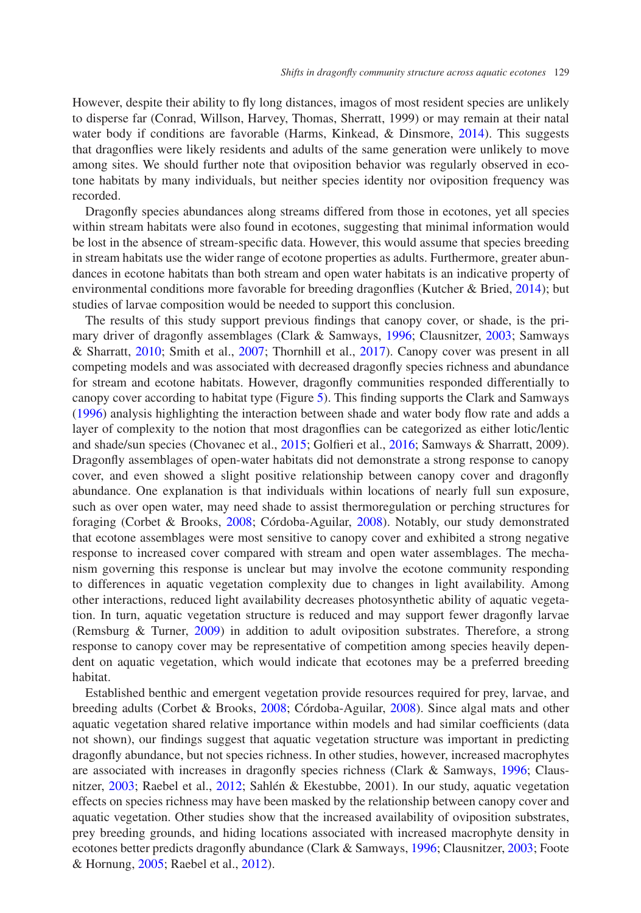However, despite their ability to fly long distances, imagos of most resident species are unlikely to disperse far (Conrad, Willson, Harvey, Thomas, Sherratt, 1999) or may remain at their natal water body if conditions are favorable (Harms, Kinkead, & Dinsmore, [2014\)](#page-10-19). This suggests that dragonflies were likely residents and adults of the same generation were unlikely to move among sites. We should further note that oviposition behavior was regularly observed in ecotone habitats by many individuals, but neither species identity nor oviposition frequency was recorded.

Dragonfly species abundances along streams differed from those in ecotones, yet all species within stream habitats were also found in ecotones, suggesting that minimal information would be lost in the absence of stream-specific data. However, this would assume that species breeding in stream habitats use the wider range of ecotone properties as adults. Furthermore, greater abundances in ecotone habitats than both stream and open water habitats is an indicative property of environmental conditions more favorable for breeding dragonflies (Kutcher & Bried, [2014\)](#page-10-9); but studies of larvae composition would be needed to support this conclusion.

The results of this study support previous findings that canopy cover, or shade, is the primary driver of dragonfly assemblages (Clark & Samways, [1996;](#page-10-4) Clausnitzer, [2003;](#page-10-5) Samways & Sharratt, [2010;](#page-11-14) Smith et al., [2007;](#page-11-4) Thornhill et al., [2017\)](#page-11-2). Canopy cover was present in all competing models and was associated with decreased dragonfly species richness and abundance for stream and ecotone habitats. However, dragonfly communities responded differentially to canopy cover according to habitat type (Figure [5\)](#page-7-0). This finding supports the Clark and Samways [\(1996\)](#page-10-4) analysis highlighting the interaction between shade and water body flow rate and adds a layer of complexity to the notion that most dragonflies can be categorized as either lotic/lentic and shade/sun species (Chovanec et al., [2015;](#page-10-10) Golfieri et al., [2016;](#page-10-2) Samways & Sharratt, 2009). Dragonfly assemblages of open-water habitats did not demonstrate a strong response to canopy cover, and even showed a slight positive relationship between canopy cover and dragonfly abundance. One explanation is that individuals within locations of nearly full sun exposure, such as over open water, may need shade to assist thermoregulation or perching structures for foraging (Corbet & Brooks, [2008;](#page-10-3) Córdoba-Aguilar, [2008\)](#page-10-1). Notably, our study demonstrated that ecotone assemblages were most sensitive to canopy cover and exhibited a strong negative response to increased cover compared with stream and open water assemblages. The mechanism governing this response is unclear but may involve the ecotone community responding to differences in aquatic vegetation complexity due to changes in light availability. Among other interactions, reduced light availability decreases photosynthetic ability of aquatic vegetation. In turn, aquatic vegetation structure is reduced and may support fewer dragonfly larvae (Remsburg & Turner, [2009\)](#page-11-15) in addition to adult oviposition substrates. Therefore, a strong response to canopy cover may be representative of competition among species heavily dependent on aquatic vegetation, which would indicate that ecotones may be a preferred breeding habitat.

Established benthic and emergent vegetation provide resources required for prey, larvae, and breeding adults (Corbet & Brooks, [2008;](#page-10-3) Córdoba-Aguilar, [2008\)](#page-10-1). Since algal mats and other aquatic vegetation shared relative importance within models and had similar coefficients (data not shown), our findings suggest that aquatic vegetation structure was important in predicting dragonfly abundance, but not species richness. In other studies, however, increased macrophytes are associated with increases in dragonfly species richness (Clark & Samways, [1996;](#page-10-4) Clausnitzer, [2003;](#page-10-5) Raebel et al., [2012;](#page-11-16) Sahlén & Ekestubbe, 2001). In our study, aquatic vegetation effects on species richness may have been masked by the relationship between canopy cover and aquatic vegetation. Other studies show that the increased availability of oviposition substrates, prey breeding grounds, and hiding locations associated with increased macrophyte density in ecotones better predicts dragonfly abundance (Clark & Samways, [1996;](#page-10-4) Clausnitzer, [2003;](#page-10-5) Foote & Hornung, [2005;](#page-10-6) Raebel et al., [2012\)](#page-11-16).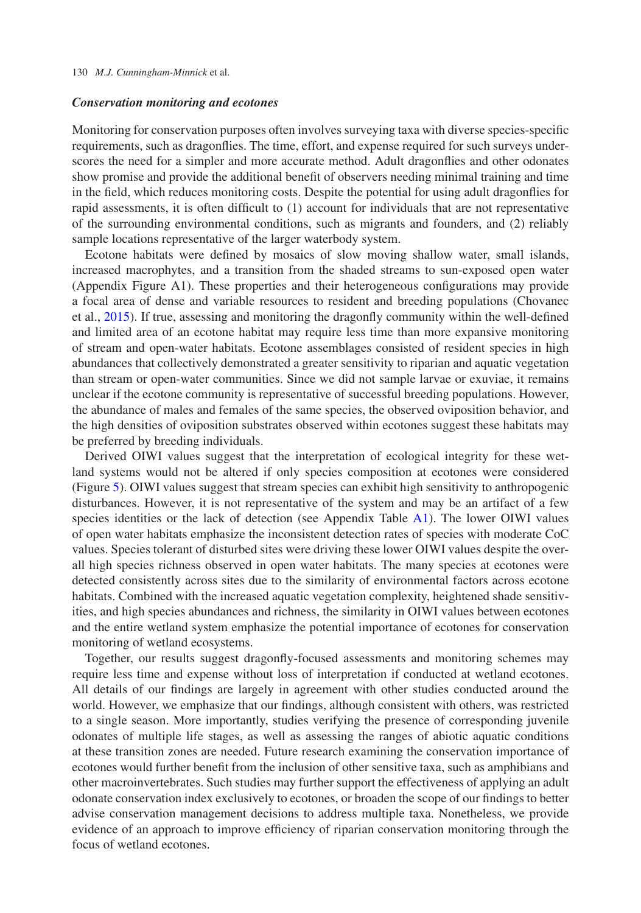#### 130 *M.J. Cunningham-Minnick* et al.

#### *Conservation monitoring and ecotones*

Monitoring for conservation purposes often involves surveying taxa with diverse species-specific requirements, such as dragonflies. The time, effort, and expense required for such surveys underscores the need for a simpler and more accurate method. Adult dragonflies and other odonates show promise and provide the additional benefit of observers needing minimal training and time in the field, which reduces monitoring costs. Despite the potential for using adult dragonflies for rapid assessments, it is often difficult to (1) account for individuals that are not representative of the surrounding environmental conditions, such as migrants and founders, and (2) reliably sample locations representative of the larger waterbody system.

Ecotone habitats were defined by mosaics of slow moving shallow water, small islands, increased macrophytes, and a transition from the shaded streams to sun-exposed open water (Appendix Figure A1). These properties and their heterogeneous configurations may provide a focal area of dense and variable resources to resident and breeding populations (Chovanec et al., [2015\)](#page-10-10). If true, assessing and monitoring the dragonfly community within the well-defined and limited area of an ecotone habitat may require less time than more expansive monitoring of stream and open-water habitats. Ecotone assemblages consisted of resident species in high abundances that collectively demonstrated a greater sensitivity to riparian and aquatic vegetation than stream or open-water communities. Since we did not sample larvae or exuviae, it remains unclear if the ecotone community is representative of successful breeding populations. However, the abundance of males and females of the same species, the observed oviposition behavior, and the high densities of oviposition substrates observed within ecotones suggest these habitats may be preferred by breeding individuals.

Derived OIWI values suggest that the interpretation of ecological integrity for these wetland systems would not be altered if only species composition at ecotones were considered (Figure [5\)](#page-7-0). OIWI values suggest that stream species can exhibit high sensitivity to anthropogenic disturbances. However, it is not representative of the system and may be an artifact of a few species identities or the lack of detection (see Appendix Table [A1\)](#page-4-0). The lower OIWI values of open water habitats emphasize the inconsistent detection rates of species with moderate CoC values. Species tolerant of disturbed sites were driving these lower OIWI values despite the overall high species richness observed in open water habitats. The many species at ecotones were detected consistently across sites due to the similarity of environmental factors across ecotone habitats. Combined with the increased aquatic vegetation complexity, heightened shade sensitivities, and high species abundances and richness, the similarity in OIWI values between ecotones and the entire wetland system emphasize the potential importance of ecotones for conservation monitoring of wetland ecosystems.

Together, our results suggest dragonfly-focused assessments and monitoring schemes may require less time and expense without loss of interpretation if conducted at wetland ecotones. All details of our findings are largely in agreement with other studies conducted around the world. However, we emphasize that our findings, although consistent with others, was restricted to a single season. More importantly, studies verifying the presence of corresponding juvenile odonates of multiple life stages, as well as assessing the ranges of abiotic aquatic conditions at these transition zones are needed. Future research examining the conservation importance of ecotones would further benefit from the inclusion of other sensitive taxa, such as amphibians and other macroinvertebrates. Such studies may further support the effectiveness of applying an adult odonate conservation index exclusively to ecotones, or broaden the scope of our findings to better advise conservation management decisions to address multiple taxa. Nonetheless, we provide evidence of an approach to improve efficiency of riparian conservation monitoring through the focus of wetland ecotones.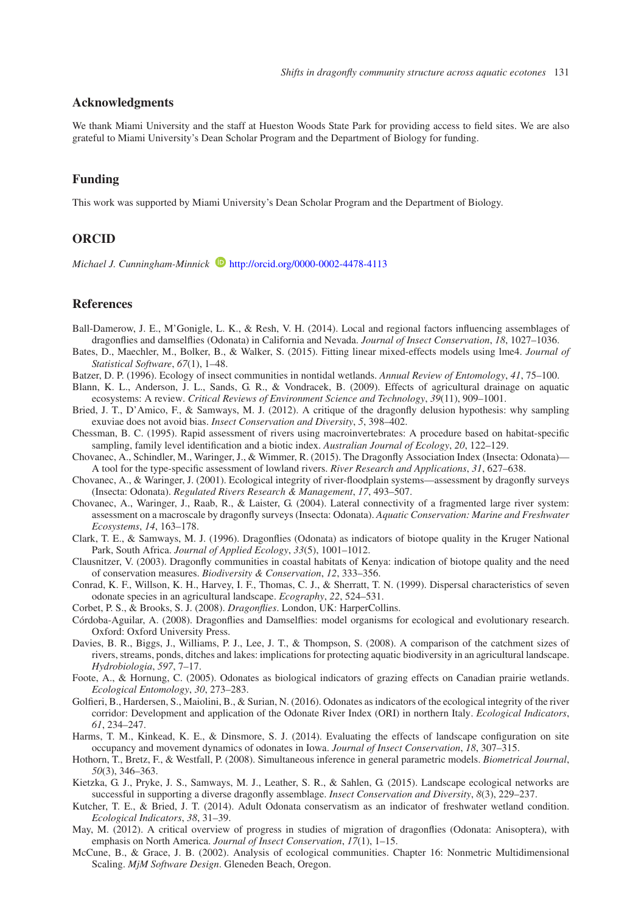# **Acknowledgments**

We thank Miami University and the staff at Hueston Woods State Park for providing access to field sites. We are also grateful to Miami University's Dean Scholar Program and the Department of Biology for funding.

#### **Funding**

This work was supported by Miami University's Dean Scholar Program and the Department of Biology.

## **ORCID**

*Michael J. Cunningham-Minnick* <http://orcid.org/0000-0002-4478-4113>

## **References**

- <span id="page-10-8"></span>Ball-Damerow, J. E., M'Gonigle, L. K., & Resh, V. H. (2014). Local and regional factors influencing assemblages of dragonflies and damselflies (Odonata) in California and Nevada. *Journal of Insect Conservation*, *18*, 1027–1036.
- <span id="page-10-15"></span>Bates, D., Maechler, M., Bolker, B., & Walker, S. (2015). Fitting linear mixed-effects models using lme4. *Journal of Statistical Software*, *67*(1), 1–48.
- Batzer, D. P. (1996). Ecology of insect communities in nontidal wetlands. *Annual Review of Entomology*, *41*, 75–100.
- <span id="page-10-14"></span><span id="page-10-12"></span>Blann, K. L., Anderson, J. L., Sands, G. R., & Vondracek, B. (2009). Effects of agricultural drainage on aquatic ecosystems: A review. *Critical Reviews of Environment Science and Technology*, *39*(11), 909–1001.
- Bried, J. T., D'Amico, F., & Samways, M. J. (2012). A critique of the dragonfly delusion hypothesis: why sampling exuviae does not avoid bias. *Insect Conservation and Diversity*, *5*, 398–402.
- <span id="page-10-11"></span>Chessman, B. C. (1995). Rapid assessment of rivers using macroinvertebrates: A procedure based on habitat-specific sampling, family level identification and a biotic index. *Australian Journal of Ecology*, *20*, 122–129.
- <span id="page-10-10"></span>Chovanec, A., Schindler, M., Waringer, J., & Wimmer, R. (2015). The Dragonfly Association Index (Insecta: Odonata)— A tool for the type-specific assessment of lowland rivers. *River Research and Applications*, *31*, 627–638.
- <span id="page-10-13"></span>Chovanec, A., & Waringer, J. (2001). Ecological integrity of river-floodplain systems—assessment by dragonfly surveys (Insecta: Odonata). *Regulated Rivers Research & Management*, *17*, 493–507.
- <span id="page-10-0"></span>Chovanec, A., Waringer, J., Raab, R., & Laister, G. (2004). Lateral connectivity of a fragmented large river system: assessment on a macroscale by dragonfly surveys (Insecta: Odonata). *Aquatic Conservation: Marine and Freshwater Ecosystems*, *14*, 163–178.
- <span id="page-10-4"></span>Clark, T. E., & Samways, M. J. (1996). Dragonflies (Odonata) as indicators of biotope quality in the Kruger National Park, South Africa. *Journal of Applied Ecology*, *33*(5), 1001–1012.
- <span id="page-10-5"></span>Clausnitzer, V. (2003). Dragonfly communities in coastal habitats of Kenya: indication of biotope quality and the need of conservation measures. *Biodiversity & Conservation*, *12*, 333–356.
- Conrad, K. F., Willson, K. H., Harvey, I. F., Thomas, C. J., & Sherratt, T. N. (1999). Dispersal characteristics of seven odonate species in an agricultural landscape. *Ecography*, *22*, 524–531.
- Corbet, P. S., & Brooks, S. J. (2008). *Dragonflies*. London, UK: HarperCollins.
- <span id="page-10-3"></span><span id="page-10-1"></span>Córdoba-Aguilar, A. (2008). Dragonflies and Damselflies: model organisms for ecological and evolutionary research. Oxford: Oxford University Press.
- <span id="page-10-18"></span>Davies, B. R., Biggs, J., Williams, P. J., Lee, J. T., & Thompson, S. (2008). A comparison of the catchment sizes of rivers, streams, ponds, ditches and lakes: implications for protecting aquatic biodiversity in an agricultural landscape. *Hydrobiologia*, *597*, 7–17.
- <span id="page-10-6"></span>Foote, A., & Hornung, C. (2005). Odonates as biological indicators of grazing effects on Canadian prairie wetlands. *Ecological Entomology*, *30*, 273–283.
- <span id="page-10-2"></span>Golfieri, B., Hardersen, S., Maiolini, B., & Surian, N. (2016). Odonates as indicators of the ecological integrity of the river corridor: Development and application of the Odonate River Index (ORI) in northern Italy. *Ecological Indicators*, *61*, 234–247.
- <span id="page-10-19"></span>Harms, T. M., Kinkead, K. E., & Dinsmore, S. J. (2014). Evaluating the effects of landscape configuration on site occupancy and movement dynamics of odonates in Iowa. *Journal of Insect Conservation*, *18*, 307–315.
- <span id="page-10-16"></span>Hothorn, T., Bretz, F., & Westfall, P. (2008). Simultaneous inference in general parametric models. *Biometrical Journal*, *50*(3), 346–363.
- <span id="page-10-7"></span>Kietzka, G. J., Pryke, J. S., Samways, M. J., Leather, S. R., & Sahlen, G. (2015). Landscape ecological networks are successful in supporting a diverse dragonfly assemblage. *Insect Conservation and Diversity*, *8*(3), 229–237.
- <span id="page-10-9"></span>Kutcher, T. E., & Bried, J. T. (2014). Adult Odonata conservatism as an indicator of freshwater wetland condition. *Ecological Indicators*, *38*, 31–39.
- May, M. (2012). A critical overview of progress in studies of migration of dragonflies (Odonata: Anisoptera), with emphasis on North America. *Journal of Insect Conservation*, *17*(1), 1–15.
- <span id="page-10-17"></span>McCune, B., & Grace, J. B. (2002). Analysis of ecological communities. Chapter 16: Nonmetric Multidimensional Scaling. *MjM Software Design*. Gleneden Beach, Oregon.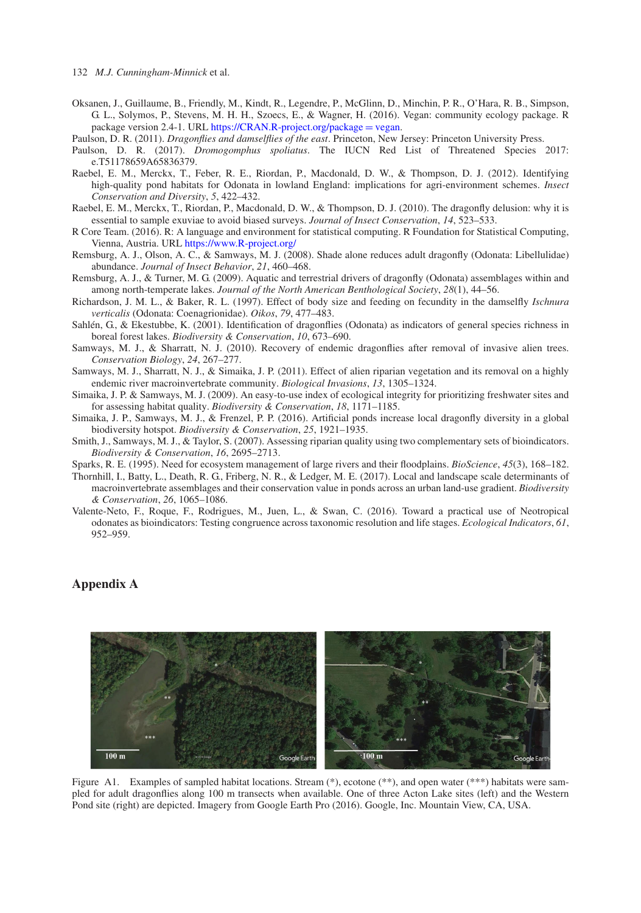- <span id="page-11-9"></span>Oksanen, J., Guillaume, B., Friendly, M., Kindt, R., Legendre, P., McGlinn, D., Minchin, P. R., O'Hara, R. B., Simpson, G. L., Solymos, P., Stevens, M. H. H., Szoecs, E., & Wagner, H. (2016). Vegan: community ecology package. R package version 2.4-1. URL [https://CRAN.R-project.org/package](https://CRAN.R-project.org/package=vegan) = vegan.
- Paulson, D. R. (2011). *Dragonflies and damselflies of the east*. Princeton, New Jersey: Princeton University Press.
- <span id="page-11-11"></span><span id="page-11-10"></span>Paulson, D. R. (2017). *Dromogomphus spoliatus*. The IUCN Red List of Threatened Species 2017: e.T51178659A65836379.
- <span id="page-11-16"></span>Raebel, E. M., Merckx, T., Feber, R. E., Riordan, P., Macdonald, D. W., & Thompson, D. J. (2012). Identifying high-quality pond habitats for Odonata in lowland England: implications for agri-environment schemes. *Insect Conservation and Diversity*, *5*, 422–432.
- <span id="page-11-13"></span>Raebel, E. M., Merckx, T., Riordan, P., Macdonald, D. W., & Thompson, D. J. (2010). The dragonfly delusion: why it is essential to sample exuviae to avoid biased surveys. *Journal of Insect Conservation*, *14*, 523–533.
- <span id="page-11-8"></span>R Core Team. (2016). R: A language and environment for statistical computing. R Foundation for Statistical Computing, Vienna, Austria. URL [https://www.R-project.org/](https://www.R-project.org/{\protect \kern +.1667em\relax })
- <span id="page-11-5"></span>Remsburg, A. J., Olson, A. C., & Samways, M. J. (2008). Shade alone reduces adult dragonfly (Odonata: Libellulidae) abundance. *Journal of Insect Behavior*, *21*, 460–468.
- <span id="page-11-15"></span>Remsburg, A. J., & Turner, M. G. (2009). Aquatic and terrestrial drivers of dragonfly (Odonata) assemblages within and among north-temperate lakes. *Journal of the North American Benthological Society*, *28*(1), 44–56.
- <span id="page-11-1"></span>Richardson, J. M. L., & Baker, R. L. (1997). Effect of body size and feeding on fecundity in the damselfly *Ischnura verticalis* (Odonata: Coenagrionidae). *Oikos*, *79*, 477–483.
- Sahlén, G., & Ekestubbe, K. (2001). Identification of dragonflies (Odonata) as indicators of general species richness in boreal forest lakes. *Biodiversity & Conservation*, *10*, 673–690.
- <span id="page-11-14"></span>Samways, M. J., & Sharratt, N. J. (2010). Recovery of endemic dragonflies after removal of invasive alien trees. *Conservation Biology*, *24*, 267–277.
- <span id="page-11-0"></span>Samways, M. J., Sharratt, N. J., & Simaika, J. P. (2011). Effect of alien riparian vegetation and its removal on a highly endemic river macroinvertebrate community. *Biological Invasions*, *13*, 1305–1324.
- <span id="page-11-6"></span>Simaika, J. P. & Samways, M. J. (2009). An easy-to-use index of ecological integrity for prioritizing freshwater sites and for assessing habitat quality. *Biodiversity & Conservation*, *18*, 1171–1185.
- <span id="page-11-12"></span>Simaika, J. P., Samways, M. J., & Frenzel, P. P. (2016). Artificial ponds increase local dragonfly diversity in a global biodiversity hotspot. *Biodiversity & Conservation*, *25*, 1921–1935.
- <span id="page-11-4"></span>Smith, J., Samways, M. J., & Taylor, S. (2007). Assessing riparian quality using two complementary sets of bioindicators. *Biodiversity & Conservation*, *16*, 2695–2713.
- Sparks, R. E. (1995). Need for ecosystem management of large rivers and their floodplains. *BioScience*, *45*(3), 168–182.
- <span id="page-11-7"></span><span id="page-11-2"></span>Thornhill, I., Batty, L., Death, R. G., Friberg, N. R., & Ledger, M. E. (2017). Local and landscape scale determinants of macroinvertebrate assemblages and their conservation value in ponds across an urban land-use gradient. *Biodiversity & Conservation*, *26*, 1065–1086.
- <span id="page-11-3"></span>Valente-Neto, F., Roque, F., Rodrigues, M., Juen, L., & Swan, C. (2016). Toward a practical use of Neotropical odonates as bioindicators: Testing congruence across taxonomic resolution and life stages. *Ecological Indicators*, *61*, 952–959.

# **Appendix A**



Figure A1. Examples of sampled habitat locations. Stream  $(*)$ , ecotone  $(***)$ , and open water  $(***)$  habitats were sampled for adult dragonflies along 100 m transects when available. One of three Acton Lake sites (left) and the Western Pond site (right) are depicted. Imagery from Google Earth Pro (2016). Google, Inc. Mountain View, CA, USA.